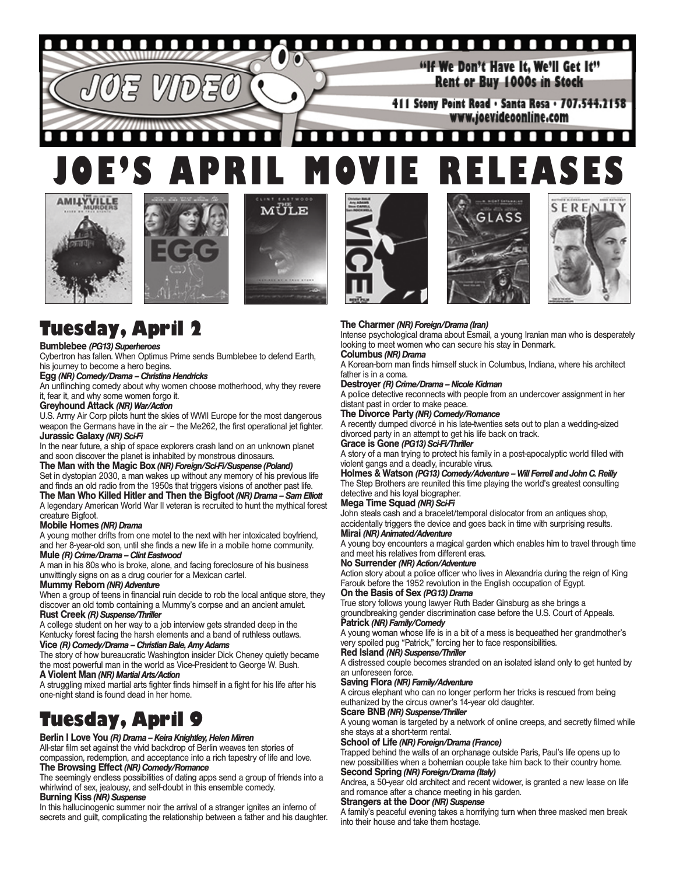#### ..................... п п П П П

"If We Don't Have It. We'll Get It" Rent or Buy 1000s in Stock

411 Stony Point Road · Santa Rosa · 707.544.2158 www.joevideoonline.com

#### п  $\Box$  $\blacksquare$ п . .  $\blacksquare$ п п п ٠ **JOE'S APRIL MOVIE RELEASES**







# **Tuesday, April 2**

#### **Bumblebee** *(PG13) Superheroes*

Cybertron has fallen. When Optimus Prime sends Bumblebee to defend Earth, his journey to become a hero begins.

#### **Egg** *(NR) Comedy/Drama – Christina Hendricks*

An unflinching comedy about why women choose motherhood, why they revere it, fear it, and why some women forgo it.

#### **Greyhound Attack** *(NR) War/Action*

U.S. Army Air Corp pilots hunt the skies of WWII Europe for the most dangerous weapon the Germans have in the air – the Me262, the first operational jet fighter. **Jurassic Galaxy** *(NR) Sci-Fi*

In the near future, a ship of space explorers crash land on an unknown planet and soon discover the planet is inhabited by monstrous dinosaurs.

**The Man with the Magic Box** *(NR) Foreign/Sci-Fi/Suspense (Poland)* Set in dystopian 2030, a man wakes up without any memory of his previous life

and finds an old radio from the 1950s that triggers visions of another past life. **The Man Who Killed Hitler and Then the Bigfoot** *(NR) Drama – Sam Elliott* A legendary American World War II veteran is recruited to hunt the mythical forest

### creature Bigfoot.

#### **Mobile Homes** *(NR) Drama*

A young mother drifts from one motel to the next with her intoxicated boyfriend, and her 8-year-old son, until she finds a new life in a mobile home community. **Mule** *(R) Crime/Drama – Clint Eastwood*

A man in his 80s who is broke, alone, and facing foreclosure of his business unwittingly signs on as a drug courier for a Mexican cartel.

#### **Mummy Reborn** *(NR) Adventure*

When a group of teens in financial ruin decide to rob the local antique store, they discover an old tomb containing a Mummy's corpse and an ancient amulet. **Rust Creek** *(R) Suspense/Thriller*

A college student on her way to a job interview gets stranded deep in the Kentucky forest facing the harsh elements and a band of ruthless outlaws.

#### **Vice** *(R) Comedy/Drama – Christian Bale, Amy Adams*

The story of how bureaucratic Washington insider Dick Cheney quietly became the most powerful man in the world as Vice-President to George W. Bush. **A Violent Man** *(NR) Martial Arts/Action*

A struggling mixed martial arts fighter finds himself in a fight for his life after his one-night stand is found dead in her home.

# **Tuesday, April 9**

#### **Berlin I Love You** *(R) Drama – Keira Knightley, Helen Mirren*

All-star film set against the vivid backdrop of Berlin weaves ten stories of compassion, redemption, and acceptance into a rich tapestry of life and love. **The Browsing Effect** *(NR) Comedy/Romance*

The seemingly endless possibilities of dating apps send a group of friends into a whirlwind of sex, jealousy, and self-doubt in this ensemble comedy.

#### **Burning Kiss** *(NR) Suspense*

In this hallucinogenic summer noir the arrival of a stranger ignites an inferno of secrets and guilt, complicating the relationship between a father and his daughter.







#### **The Charmer***(NR) Foreign/Drama (Iran)*

Intense psychological drama about Esmail, a young Iranian man who is desperately looking to meet women who can secure his stay in Denmark.

#### **Columbus** *(NR) Drama*

A Korean-born man finds himself stuck in Columbus, Indiana, where his architect father is in a coma.

#### **Destroyer***(R) Crime/Drama – Nicole Kidman*

A police detective reconnects with people from an undercover assignment in her distant past in order to make peace.

#### **The Divorce Party** *(NR) Comedy/Romance*

A recently dumped divorcé in his late-twenties sets out to plan a wedding-sized divorced party in an attempt to get his life back on track.

#### **Grace is Gone** *(PG13) Sci-Fi/Thriller*

A story of a man trying to protect his family in a post-apocalyptic world filled with violent gangs and a deadly, incurable virus.

**Holmes & Watson** *(PG13) Comedy/Adventure – Will Ferrell and John C. Reilly* The Step Brothers are reunited this time playing the world's greatest consulting detective and his loyal biographer.

#### **Mega Time Squad** *(NR) Sci-Fi*

John steals cash and a bracelet/temporal dislocator from an antiques shop, accidentally triggers the device and goes back in time with surprising results. **Mirai** *(NR) Animated/Adventure*

A young boy encounters a magical garden which enables him to travel through time and meet his relatives from different eras.

#### **No Surrender***(NR) Action/Adventure*

Action story about a police officer who lives in Alexandria during the reign of King Farouk before the 1952 revolution in the English occupation of Egypt. **On the Basis of Sex** *(PG13) Drama*

True story follows young lawyer Ruth Bader Ginsburg as she brings a groundbreaking gender discrimination case before the U.S. Court of Appeals. **Patrick** *(NR) Family/Comedy*

A young woman whose life is in a bit of a mess is bequeathed her grandmother's very spoiled pug "Patrick," forcing her to face responsibilities.

#### **Red Island** *(NR) Suspense/Thriller*

A distressed couple becomes stranded on an isolated island only to get hunted by an unforeseen force.

#### **Saving Flora** *(NR) Family/Adventure*

A circus elephant who can no longer perform her tricks is rescued from being euthanized by the circus owner's 14-year old daughter.

#### **Scare BNB** *(NR) Suspense/Thriller*

A young woman is targeted by a network of online creeps, and secretly filmed while she stays at a short-term rental.

#### **School of Life** *(NR) Foreign/Drama (France)*

Trapped behind the walls of an orphanage outside Paris, Paul's life opens up to new possibilities when a bohemian couple take him back to their country home.

### **Second Spring** *(NR) Foreign/Drama (Italy)*

Andrea, a 50-year old architect and recent widower, is granted a new lease on life and romance after a chance meeting in his garden.

#### **Strangers at the Door***(NR) Suspense*

A family's peaceful evening takes a horrifying turn when three masked men break into their house and take them hostage.